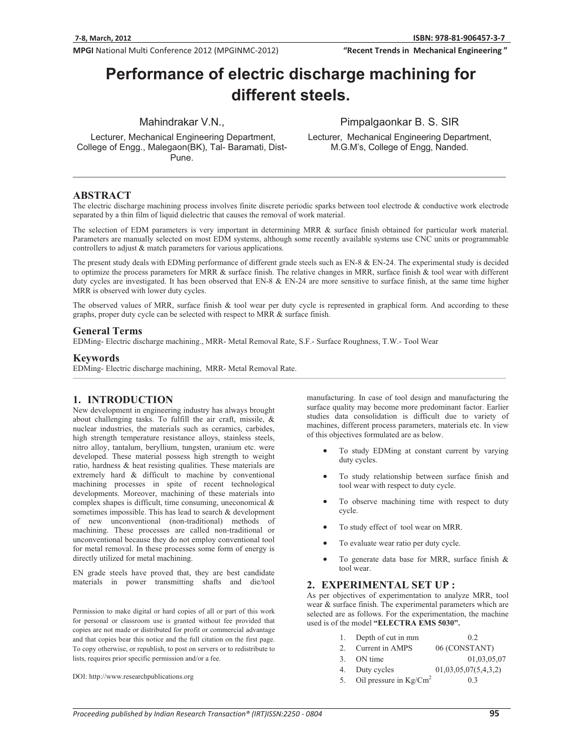MPGI National Multi Conference 2012 (MPGINMC-2012)

"Recent Trends in Mechanical Engineering"

# **Performance of electric discharge machining for different steels.**

Mahindrakar V.N.,

 Lecturer, Mechanical Engineering Department, College of Engg., Malegaon(BK), Tal- Baramati, Dist-Pune.

Pimpalgaonkar B. S. SIR

Lecturer, Mechanical Engineering Department, M.G.M's, College of Engg, Nanded.

## **ABSTRACT**

The electric discharge machining process involves finite discrete periodic sparks between tool electrode  $\&$  conductive work electrode separated by a thin film of liquid dielectric that causes the removal of work material.

The selection of EDM parameters is very important in determining MRR & surface finish obtained for particular work material. Parameters are manually selected on most EDM systems, although some recently available systems use CNC units or programmable controllers to adjust & match parameters for various applications.

The present study deals with EDMing performance of different grade steels such as EN-8 & EN-24. The experimental study is decided to optimize the process parameters for MRR  $\&$  surface finish. The relative changes in MRR, surface finish  $\&$  tool wear with different duty cycles are investigated. It has been observed that EN-8 & EN-24 are more sensitive to surface finish, at the same time higher MRR is observed with lower duty cycles.

The observed values of MRR, surface finish & tool wear per duty cycle is represented in graphical form. And according to these graphs, proper duty cycle can be selected with respect to MRR & surface finish.

#### **General Terms**

EDMing- Electric discharge machining., MRR- Metal Removal Rate, S.F.- Surface Roughness, T.W.- Tool Wear

#### **Keywords**

EDMing- Electric discharge machining, MRR- Metal Removal Rate.

# **1. INTRODUCTION**

New development in engineering industry has always brought about challenging tasks. To fulfill the air craft, missile, & nuclear industries, the materials such as ceramics, carbides, high strength temperature resistance alloys, stainless steels, nitro alloy, tantalum, beryllium, tungsten, uranium etc. were developed. These material possess high strength to weight ratio, hardness & heat resisting qualities. These materials are extremely hard & difficult to machine by conventional machining processes in spite of recent technological developments. Moreover, machining of these materials into complex shapes is difficult, time consuming, uneconomical & sometimes impossible. This has lead to search & development of new unconventional (non-traditional) methods of machining. These processes are called non-traditional or unconventional because they do not employ conventional tool for metal removal. In these processes some form of energy is directly utilized for metal machining.

EN grade steels have proved that, they are best candidate materials in power transmitting shafts and die/tool

Permission to make digital or hard copies of all or part of this work for personal or classroom use is granted without fee provided that copies are not made or distributed for profit or commercial advantage and that copies bear this notice and the full citation on the first page. To copy otherwise, or republish, to post on servers or to redistribute to lists, requires prior specific permission and/or a fee.

DOI: http://www.researchpublications.org

manufacturing. In case of tool design and manufacturing the surface quality may become more predominant factor. Earlier studies data consolidation is difficult due to variety of machines, different process parameters, materials etc. In view of this objectives formulated are as below.

- - To study EDMing at constant current by varying duty cycles.
- - To study relationship between surface finish and tool wear with respect to duty cycle.
- - To observe machining time with respect to duty cycle.
- -To study effect of tool wear on MRR.
- -To evaluate wear ratio per duty cycle.
- - To generate data base for MRR, surface finish & tool wear.

### **2. EXPERIMENTAL SET UP :**

As per objectives of experimentation to analyze MRR, tool wear & surface finish. The experimental parameters which are selected are as follows. For the experimentation, the machine used is of the model **"ELECTRA EMS 5030".** 

- 1. Depth of cut in mm 0.2
- 2. Current in AMPS 06 (CONSTANT)
- 3. ON time 01,03,05,07
- 4. Duty cycles 01,03,05,07(5,4,3,2)
- Oil pressure in  $\text{Kg/cm}^2$  0.3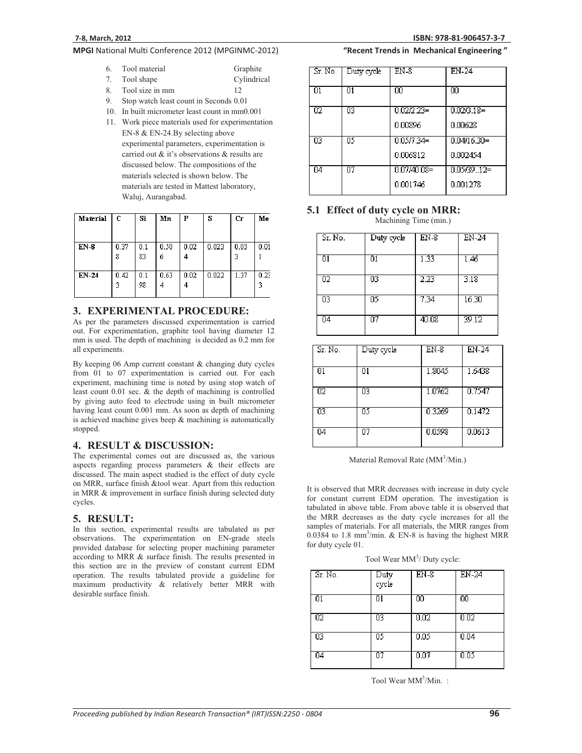#### **81-906457-3-7**

# MPGI National Multi Conference 2012 (MPGINMC-2012)

- 6. Tool material Graphite
- 7. Tool shape Cylindrical
- 8. Tool size in mm 12
- 9. Stop watch least count in Seconds 0.01
- 10. In built micrometer least count in mm0.001
- 11. Work piece materials used for experimentation EN-8 & EN-24.By selecting above experimental parameters, experimentation is carried out & it's observations & results are discussed below. The compositions of the materials selected is shown below. The materials are tested in Mattest laboratory, Waluj, Aurangabad.

| Material | C         | Si        | Mn        | P         | s     | Сr   | Mo        |
|----------|-----------|-----------|-----------|-----------|-------|------|-----------|
| $EN-8$   | 0.37<br>8 | 0.1<br>83 | 0.50<br>6 | 0.02<br>4 | 0.023 | 0.03 | 0.01      |
| EN-24    | 0.42<br>3 | 0.1<br>98 | 0.63<br>4 | 0.02<br>4 | 0.022 | 1.37 | 0.23<br>3 |

# **3. EXPERIMENTAL PROCEDURE:**

As per the parameters discussed experimentation is carried out. For experimentation, graphite tool having diameter 12 mm is used. The depth of machining is decided as 0.2 mm for all experiments.

By keeping 06 Amp current constant & changing duty cycles from 01 to 07 experimentation is carried out. For each experiment, machining time is noted by using stop watch of least count 0.01 sec. & the depth of machining is controlled by giving auto feed to electrode using in built micrometer having least count 0.001 mm. As soon as depth of machining is achieved machine gives beep & machining is automatically stopped.

# **4. RESULT & DISCUSSION:**

The experimental comes out are discussed as, the various aspects regarding process parameters & their effects are discussed. The main aspect studied is the effect of duty cycle on MRR, surface finish &tool wear. Apart from this reduction in MRR & improvement in surface finish during selected duty cycles.

# **5. RESULT:**

In this section, experimental results are tabulated as per observations. The experimentation on EN-grade steels provided database for selecting proper machining parameter according to MRR & surface finish. The results presented in this section are in the preview of constant current EDM operation. The results tabulated provide a guideline for maximum productivity & relatively better MRR with desirable surface finish.

# "Recent Trends in Mechanical Engineering"

| Sr. No. .       | Duty cycle      | EN-8          | EN-24         |
|-----------------|-----------------|---------------|---------------|
| 01              | 01              | 00            | 00            |
| $\overline{02}$ | $\overline{03}$ | $0.02/2.23=$  | $0.02/3.18=$  |
|                 |                 | 0.00896       | 0.00628       |
| $\overline{03}$ | Ū5              | $0.057334 =$  | $0.04/16.30=$ |
|                 |                 | 0.006812      | 0.002454      |
| 04              | 07              | $0.07/40.08=$ | $0.05/39.12=$ |
|                 |                 | 0.001746      | 0.001278      |

# **5.1 Effect of duty cycle on MRR:**

Machining Time (min.)

| Sr. No.         | Duty cycle | EN-8  | $EN-24$ |
|-----------------|------------|-------|---------|
| 01              | 01         | 1.33  | 1.46    |
| $\overline{02}$ | 03         | 2.23  | 3.18    |
| $\overline{03}$ | 05         | 7.34  | 16.30   |
| 04              | 07         | 40.08 | 39.12   |

| Sr. No. | Duty cycle | $EN-8$ | EN-24  |
|---------|------------|--------|--------|
| 01      | 01         | 1.8045 | 1.6438 |
| 02      | 03         | 1.0762 | 0.7547 |
| 03      | 05         | 0.3269 | 0.1472 |
| 04      | n7         | 0.0598 | 0.0613 |

Material Removal Rate (MM<sup>3</sup>/Min.)

It is observed that MRR decreases with increase in duty cycle for constant current EDM operation. The investigation is tabulated in above table. From above table it is observed that the MRR decreases as the duty cycle increases for all the samples of materials. For all materials, the MRR ranges from 0.0384 to 1.8 mm<sup>3</sup>/min. & EN-8 is having the highest MRR for duty cycle 01.

Tool Wear MM<sup>3</sup>/ Duty cycle:

| Sr. No.         | Duty<br>cycle   | $EN-8$          | EN-24           |
|-----------------|-----------------|-----------------|-----------------|
| $\overline{01}$ | $\overline{01}$ | $\overline{00}$ | $\overline{00}$ |
| $\overline{02}$ | 03              | 0.02            | 0.02            |
| 03              | 05              | 0.05            | 0.04            |
| 04              | 07              | 0.07            | 0.05            |

Tool Wear MM<sup>3</sup>/Min. :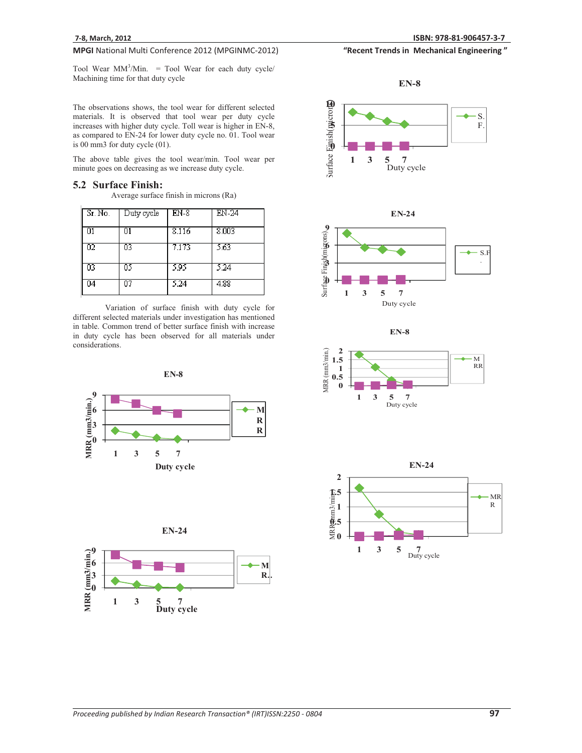# MPGI National Multi Conference 2012 (MPGINMC-2012)

Tool Wear  $MM^3/Min.$  = Tool Wear for each duty cycle/ Machining time for that duty cycle

The observations shows, the tool wear for different selected materials. It is observed that tool wear per duty cycle increases with higher duty cycle. Toll wear is higher in EN-8, as compared to EN-24 for lower duty cycle no. 01. Tool wear is 00 mm3 for duty cycle (01).

The above table gives the tool wear/min. Tool wear per minute goes on decreasing as we increase duty cycle.

## **5.2 Surface Finish:**

Average surface finish in microns (Ra)

| Sr. No. | Duty cycle | $EN-8$ | EN-24 |
|---------|------------|--------|-------|
| 01      | 01         | 8.116  | 8.003 |
| 02      | 03         | 7.173  | 5.63  |
| 03      | OS.        | 5.95   | 5.24  |
| 04      | 07         | 5.24   | 4.88  |

 Variation of surface finish with duty cycle for different selected materials under investigation has mentioned in table. Common trend of better surface finish with increase in duty cycle has been observed for all materials under considerations.

$$
EN-8
$$



$$
EN-24
$$





**EN-8**





Surface Finish(migrons)









S.F .

"Recent Trends in Mechanical Engineering"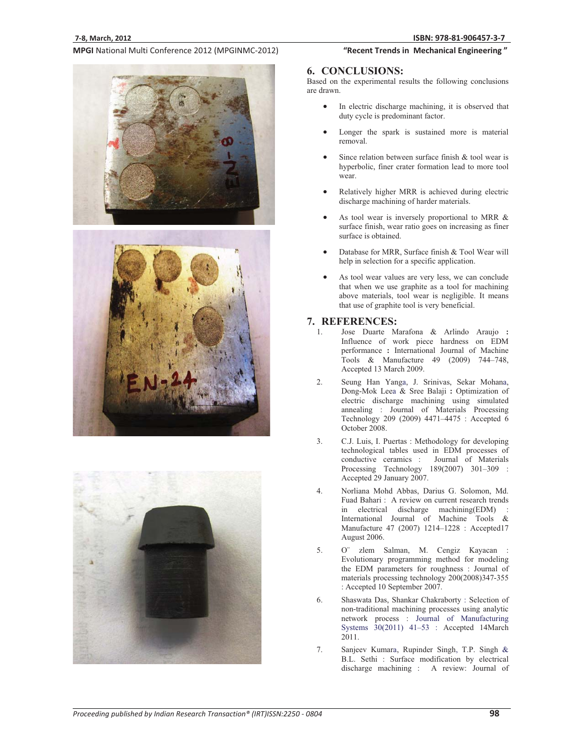# MPGI National Multi Conference 2012 (MPGINMC-2012)







# "Recent Trends in Mechanical Engineering"

# **6. CONCLUSIONS:**

Based on the experimental results the following conclusions are drawn.

- - In electric discharge machining, it is observed that duty cycle is predominant factor.
- - Longer the spark is sustained more is material removal.
- - Since relation between surface finish & tool wear is hyperbolic, finer crater formation lead to more tool wear.
- - Relatively higher MRR is achieved during electric discharge machining of harder materials.
- - As tool wear is inversely proportional to MRR & surface finish, wear ratio goes on increasing as finer surface is obtained.
- - Database for MRR, Surface finish & Tool Wear will help in selection for a specific application.
- - As tool wear values are very less, we can conclude that when we use graphite as a tool for machining above materials, tool wear is negligible. It means that use of graphite tool is very beneficial.

## **7. REFERENCES:**

- 1. Jose Duarte Marafona & Arlindo Araujo **:** Influence of work piece hardness on EDM performance **:** International Journal of Machine Tools & Manufacture 49 (2009) 744–748, Accepted 13 March 2009.
- 2. Seung Han Yanga, J. Srinivas, Sekar Mohana, Dong-Mok Leea & Sree Balaji **:** Optimization of electric discharge machining using simulated annealing : Journal of Materials Processing Technology 209 (2009) 4471–4475 : Accepted 6 October 2008.
- 3. C.J. Luis, I. Puertas : Methodology for developing technological tables used in EDM processes of conductive ceramics : Journal of Materials Processing Technology 189(2007) 301–309 : Accepted 29 January 2007.
- 4. Norliana Mohd Abbas, Darius G. Solomon, Md. Fuad Bahari : A review on current research trends in electrical discharge machining(EDM) : International Journal of Machine Tools & Manufacture 47 (2007) 1214–1228 : Accepted17 August 2006.
- 5. O¨ zlem Salman, M. Cengiz Kayacan : Evolutionary programming method for modeling the EDM parameters for roughness : Journal of materials processing technology 200(2008)347-355 : Accepted 10 September 2007.
- 6. Shaswata Das, Shankar Chakraborty : Selection of non-traditional machining processes using analytic network process : Journal of Manufacturing Systems 30(2011) 41–53 : Accepted 14March 2011.
- 7. Sanjeev Kumara, Rupinder Singh, T.P. Singh & B.L. Sethi : Surface modification by electrical discharge machining : A review: Journal of